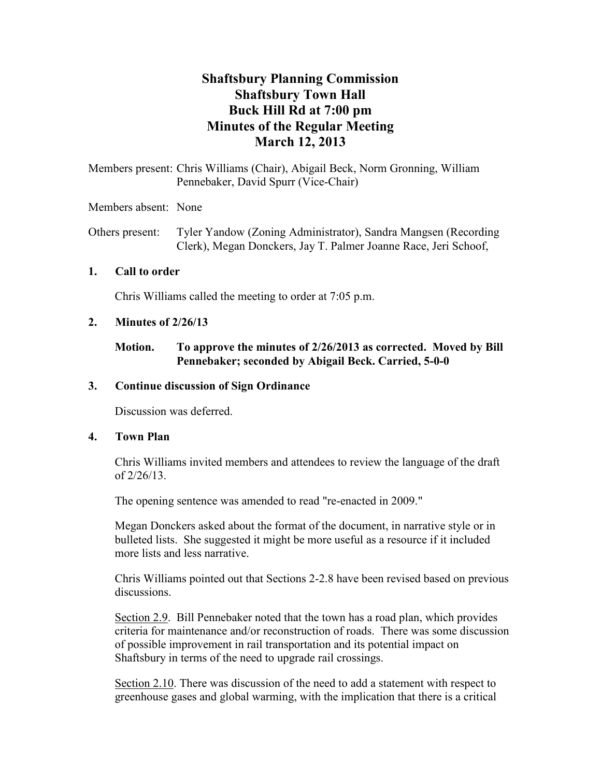# **Shaftsbury Planning Commission Shaftsbury Town Hall Buck Hill Rd at 7:00 pm Minutes of the Regular Meeting March 12, 2013**

Members present: Chris Williams (Chair), Abigail Beck, Norm Gronning, William Pennebaker, David Spurr (Vice-Chair)

Members absent: None

Others present: Tyler Yandow (Zoning Administrator), Sandra Mangsen (Recording Clerk), Megan Donckers, Jay T. Palmer Joanne Race, Jeri Schoof,

#### **1. Call to order**

Chris Williams called the meeting to order at 7:05 p.m.

#### **2. Minutes of 2/26/13**

### **Motion. To approve the minutes of 2/26/2013 as corrected. Moved by Bill Pennebaker; seconded by Abigail Beck. Carried, 5-0-0**

#### **3. Continue discussion of Sign Ordinance**

Discussion was deferred.

#### **4. Town Plan**

Chris Williams invited members and attendees to review the language of the draft of 2/26/13.

The opening sentence was amended to read "re-enacted in 2009."

Megan Donckers asked about the format of the document, in narrative style or in bulleted lists. She suggested it might be more useful as a resource if it included more lists and less narrative.

Chris Williams pointed out that Sections 2-2.8 have been revised based on previous discussions.

Section 2.9. Bill Pennebaker noted that the town has a road plan, which provides criteria for maintenance and/or reconstruction of roads. There was some discussion of possible improvement in rail transportation and its potential impact on Shaftsbury in terms of the need to upgrade rail crossings.

Section 2.10. There was discussion of the need to add a statement with respect to greenhouse gases and global warming, with the implication that there is a critical